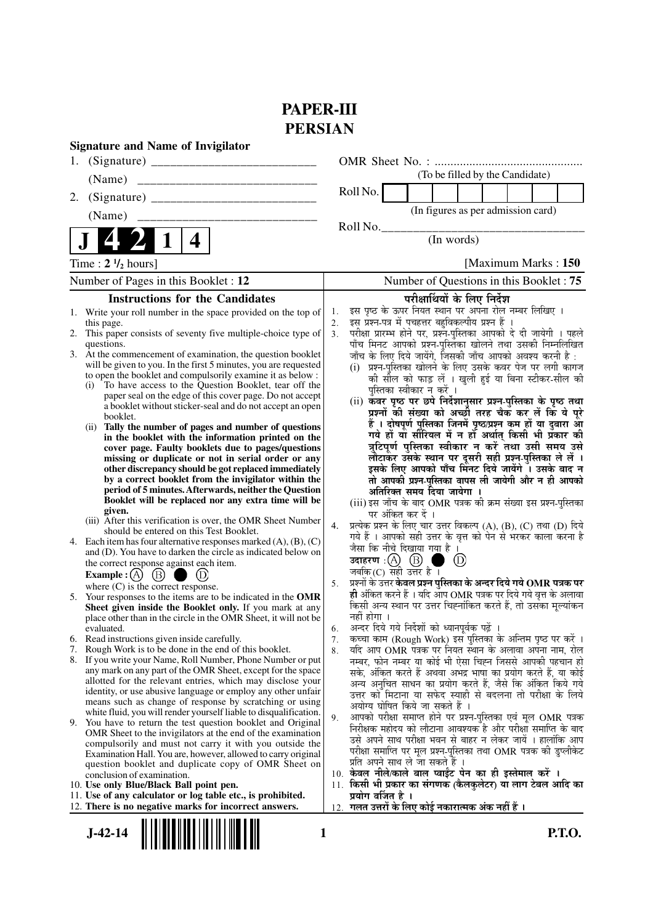# **PAPER-III PERSIAN**

| <b>Signature and Name of Invigilator</b> |                                                                                                                                |          |                                                                                                                            |
|------------------------------------------|--------------------------------------------------------------------------------------------------------------------------------|----------|----------------------------------------------------------------------------------------------------------------------------|
|                                          |                                                                                                                                |          |                                                                                                                            |
|                                          | (Name)                                                                                                                         |          | (To be filled by the Candidate)                                                                                            |
| 2.                                       |                                                                                                                                |          | Roll No.                                                                                                                   |
|                                          | (Name)<br>______________________________                                                                                       |          | (In figures as per admission card)                                                                                         |
|                                          | 4                                                                                                                              |          | Roll No.<br>(In words)                                                                                                     |
|                                          |                                                                                                                                |          |                                                                                                                            |
|                                          | Time: $2 \frac{1}{2}$ hours]                                                                                                   |          | [Maximum Marks: 150]                                                                                                       |
|                                          | Number of Pages in this Booklet: 12                                                                                            |          | Number of Questions in this Booklet: 75                                                                                    |
|                                          | <b>Instructions for the Candidates</b>                                                                                         |          | परीक्षार्थियों के लिए निर्देश                                                                                              |
|                                          | 1. Write your roll number in the space provided on the top of                                                                  | 1.<br>2. | इस पृष्ठ के ऊपर नियत स्थान पर अपना रोल नम्बर लिखिए ।<br>इस प्रश्न-पत्र में पचहत्तर बहुविकल्पीय प्रश्न हैं                  |
|                                          | this page.<br>2. This paper consists of seventy five multiple-choice type of                                                   | 3.       | परीक्षा प्रारम्भ होने पर, प्रश्नॅ-पुस्तिका आपको दे दी जायेगी । पहले                                                        |
|                                          | questions.                                                                                                                     |          | पाँच मिनट आपको प्रश्न-पुस्तिका खोलने तथा उसकी निम्नलिखित                                                                   |
|                                          | 3. At the commencement of examination, the question booklet<br>will be given to you. In the first 5 minutes, you are requested |          | जाँच के लिए दिये जायेंगे, जिसकी जाँच आपको अवश्य करनी है :<br>(i) प्रश्न-पुस्तिका खोलने के लिए उसके कवर पेज पर लगी कागज     |
|                                          | to open the booklet and compulsorily examine it as below :                                                                     |          | की सील को फाड़ लें । खुली हुई या बिना स्टीकर-सील की                                                                        |
|                                          | (i) To have access to the Question Booklet, tear off the<br>paper seal on the edge of this cover page. Do not accept           |          | पुस्तिका स्वीकार न करें ।                                                                                                  |
|                                          | a booklet without sticker-seal and do not accept an open                                                                       |          | (ii) कँवर पृष्ठ पर छपे निर्देशानुसार प्रश्न-पुस्तिका के पृष्ठ तथा<br>प्रश्नों की संख्या को अच्छी तरह चैक कर लें कि ये पूरे |
|                                          | booklet.                                                                                                                       |          | हैं । दोषपूर्ण पुस्तिका जिनमें पृष्ठ/प्रश्न कम हों या दुबारा आ                                                             |
|                                          | Tally the number of pages and number of questions<br>(ii)<br>in the booklet with the information printed on the                |          | गये हों यो सीरियल में न हों अर्थात् किसी भी प्रकार की                                                                      |
|                                          | cover page. Faulty booklets due to pages/questions                                                                             |          | त्रुटिपूर्ण पुस्तिका स्वीकार न करें तथा उसी समय उसे                                                                        |
|                                          | missing or duplicate or not in serial order or any<br>other discrepancy should be got replaced immediately                     |          | लौटाकर उसके स्थान पर दूसरी सही प्रश्न-पुस्तिका ले लें ।<br>इसके लिए आपको पाँच मिनट दिये जायेंगे । उसके बाद न               |
|                                          | by a correct booklet from the invigilator within the                                                                           |          | तो आपकी प्रश्न-पुस्तिका वापस ली जायेगी और न ही आपको                                                                        |
|                                          | period of 5 minutes. Afterwards, neither the Question<br>Booklet will be replaced nor any extra time will be                   |          | अतिरिक्त समय दिया जायेगा ।                                                                                                 |
|                                          | given.                                                                                                                         |          | (iii) इस जाँच के बाद OMR पत्रक की क्रम संख्या इस प्रश्न-पुस्तिका<br>पर अंकित कर दें ।                                      |
|                                          | (iii) After this verification is over, the OMR Sheet Number                                                                    | 4.       | प्रत्येक प्रश्न के लिए चार उत्तर विकल्प (A), (B), (C) तथा (D) दिये                                                         |
|                                          | should be entered on this Test Booklet.<br>4. Each item has four alternative responses marked $(A)$ , $(B)$ , $(C)$            |          | गये हैं । आपको सही उत्तर के वृत्त को पेन से भरकर काला करना है                                                              |
|                                          | and (D). You have to darken the circle as indicated below on                                                                   |          | जैसा कि नीचे दिखाया गया है ।<br>उदाहरण $\,$ :(A) $\,$ (B) $\,$                                                             |
|                                          | the correct response against each item.                                                                                        |          | (D)<br>जबकि (C) सही उत्तर है ।                                                                                             |
|                                          | $\circled{B}$<br><b>Example</b> : $(A)$<br>where $(C)$ is the correct response.                                                | 5.       | प्रश्नों के उत्तर <b>केवल प्रश्न पुस्तिका के अन्दर दिये गये OMR पत्रक पर</b>                                               |
| 5.                                       | Your responses to the items are to be indicated in the OMR                                                                     |          | ही अंकित करने हैं । यदि आप OMR पत्रक पर दिये गये वृत्त के अलावा                                                            |
|                                          | Sheet given inside the Booklet only. If you mark at any<br>place other than in the circle in the OMR Sheet, it will not be     |          | किसी अन्य स्थान पर उत्तर चिह्नांकित करते हैं, तो उसका मूल्यांकन<br>नहीं होगा ।                                             |
|                                          | evaluated.                                                                                                                     | 6.       | अन्दर दिये गये निर्देशों को ध्यानपूर्वक पढ़ें ।                                                                            |
|                                          | 6. Read instructions given inside carefully.                                                                                   | 7.       | कच्चा काम (Rough Work) इस पुस्तिका के अन्तिम पृष्ठ पर करें ।                                                               |
|                                          | 7. Rough Work is to be done in the end of this booklet.<br>8. If you write your Name, Roll Number, Phone Number or put         | 8.       | यदि आप OMR पत्रक पर नियत स्थान के अलावा अपना नाम, रोल<br>नम्बर, फोन नम्बर या कोई भी ऐसा चिह्न जिससे आपकी पहचान हो          |
|                                          | any mark on any part of the OMR Sheet, except for the space                                                                    |          | सके, अंकित करते हैं अथवा अभद्र भाषा का प्रयोग करते हैं, या कोई                                                             |
|                                          | allotted for the relevant entries, which may disclose your                                                                     |          | अन्य अनुचित साधन का प्रयोग करते हैं, जैसे कि अंकित किये गये                                                                |
|                                          | identity, or use abusive language or employ any other unfair<br>means such as change of response by scratching or using        |          | उत्तर को मिटाना या सफेद स्याही से बदलना तो परीक्षा के लिये<br>अयोग्य घोषित किये जा सकते हैं ।                              |
|                                          | white fluid, you will render yourself liable to disqualification.                                                              | 9.       | आपको परीक्षा समाप्त होने पर प्रश्न-पुस्तिका एवं मूल OMR पत्रक                                                              |
|                                          | 9. You have to return the test question booklet and Original<br>OMR Sheet to the invigilators at the end of the examination    |          | निरीक्षक महोदय को लौटाना आवश्यक है और परीक्षा समाप्ति के बाद                                                               |
|                                          | compulsorily and must not carry it with you outside the                                                                        |          | उसे अपने साथ परीक्षा भवन से बाहर न लेकर जायें । हालांकि आप                                                                 |
|                                          | Examination Hall. You are, however, allowed to carry original                                                                  |          | परीक्षा समाप्ति पर मूल प्रश्न-पुस्तिका तथा OMR पत्रक की डुप्लीकेट<br>प्रति अपने साथ ले जा सकते हैं ।                       |
|                                          | question booklet and duplicate copy of OMR Sheet on<br>conclusion of examination.                                              |          | 10. केवल नीले/काले बाल प्वाईंट पेन का ही इस्तेमाल करें ।                                                                   |
|                                          | 10. Use only Blue/Black Ball point pen.                                                                                        | 11.      | किसी भी प्रकार का संगणक (कैलकुलेटर) या लाग टेबल आदि का                                                                     |
|                                          | 11. Use of any calculator or log table etc., is prohibited.<br>12. There is no negative marks for incorrect answers.           |          | प्रयोग वर्जित है ।<br>12. गलत उत्तरों के लिए कोई नकारात्मक अंक नहीं हैं ।                                                  |
|                                          |                                                                                                                                |          |                                                                                                                            |
| <b>P.T.O.</b><br>$J-42-14$<br>1          |                                                                                                                                |          |                                                                                                                            |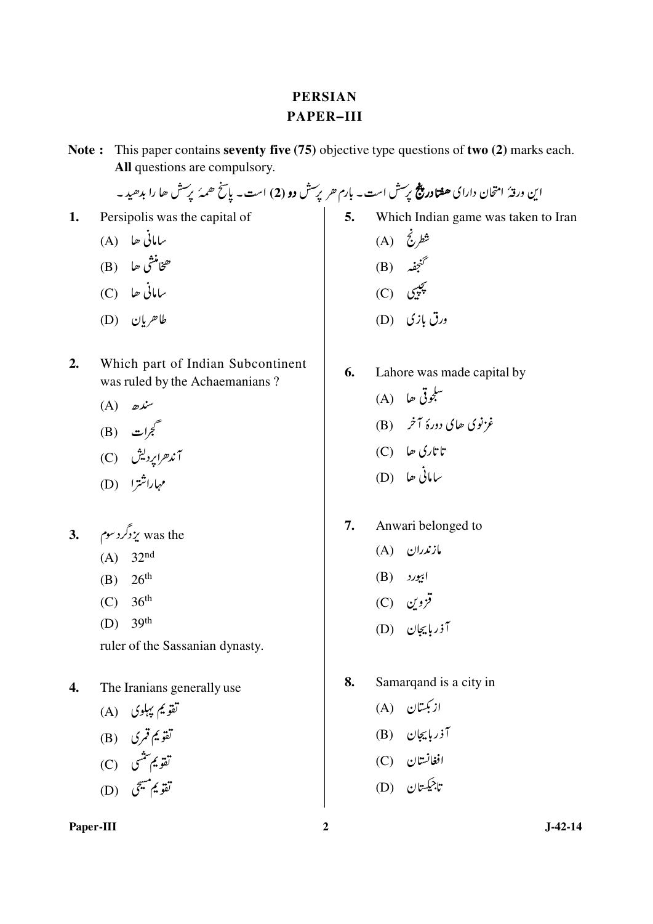# **PERSIAN** PAPER-III

Note: This paper contains seventy five (75) objective type questions of two (2) marks each. All questions are compulsory.

این ورقهٔ امتحان دارای **هفتادر پنج** پرسش است - بارم *هر پرس*ش **دو (2**) است - پاسخ *همهٔ پرس*ش ها را بدهید -

Persipolis was the capital of 1.

$$
(A) \quad \blacksquare \quad \blacksquare
$$

$$
\qquad \qquad \text{(B)} \quad \text{a) } \quad
$$

- ىيانى ھا (C)
- $(D)$  طاھريان
- $2.$ Which part of Indian Subcontinent was ruled by the Achaemanians?
	- $(A)$   $\omega^{\mu}$
	- (B) گجرات  $\vec{z}$
	- آند*هراپ*ردیش (C)
	- مہاراشترا (D)
- 3. يزدگردسوم $\zeta$  was the
	- (A)  $32^{nd}$
	- (B)  $26^{th}$
	- (C)  $36^{th}$
	- (D)  $39^{th}$

ruler of the Sassanian dynasty.

- The Iranians generally use  $\overline{4}$ .
	- تقویم پہلوی (A)
	- تقويم قمري (B)
	- تقويم شنسي (C)
	- تقويم مسجى (D)

## Paper-III

5. Which Indian game was taken to Iran<br>(A)  $\vec{\zeta}$   $\vec{\zeta}$ <br>(B)  $\vec{\zeta}$   $\vec{\zeta}$ <br>(C)  $\zeta$ 

- 
- ورق بازی (D)
- **6.** Lahore was made capital by  $(A)$  للجوقي حا غزنوی حای دورهٔ آخر (B)
	- تا تاری ھا $\mathbb{C})$
	- $(D)$   $\downarrow$   $\downarrow$
- $\overline{7}$ . Anwari belonged to
	- $(A)$  مازندران
	- $(B)$   $|$
	- $(C)$   $C_2$
	- آذربایجان (D)
- 8. Samarqand is a city in
	- ازبکستان (A)
	- آذربایجان (B)<br>افغانستان (C)<br>تاجیکستان (D)
	-
	-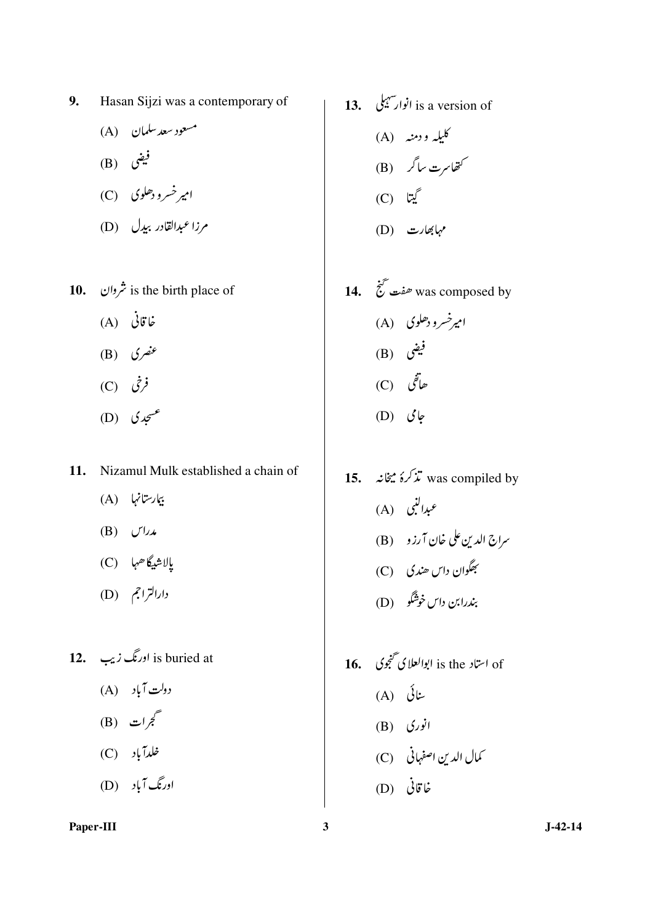- 9. Hasan Sijzi was a contemporary of
	- مسعود سعد سلمان (A)
	- $(B)$  فیضی
	- امیر خسرو دھلوی (C)
	- مرزا عبدالقادر بيدل (D)
- 10.  $\dot{\tilde{\zeta}}$  is the birth place of
	- غاقانی (A)
	- (B)  $\mathcal{E}$   $\mathcal{E}$
	- $(C)$   $\dot{\zeta}$
	- (D)  $\int_{-\infty}^{\infty}$
- 11. Nizamul Mulk established a chain of
	- بیارستانها (A)
	- $(B)$   $U^{1}$
	- يالاشيگاھها (C)
	- دارالتراجم (D)
- 12. اورنگ زيب**3** is buried at
	- دولت آباد (A)
	- (B) گجرات
	- خلدآباد (C)
	- اورنگ آباد (D)

- **13.** انوارسيلي **i**s a version of کلیله و دمنه (A) کتھاسرت ساگر (B)  $(C)$  لیٹا مہابھارت (D)
- 14.  $\overline{\mathcal{C}}$  was composed by امپرخسرو دھلوی (A) (B) فیض  $(C)$  خاتفی  $(D)$   $\mathcal{J}$
- 15. تذکرۂ میخانہ  $\ddot{x}$  was compiled by عبدالنبي (A) سراج الدين على خان آرزو (B) بِهَگُوان داس ھندي (C) بندرابن داس خوشگو (D)
- of استاد is the ابوالعلای تخجوی ۔ **16.** ىنائى (A)  $(B)$  انوری كمال الدين اصفهاني (C) غاقانی (D)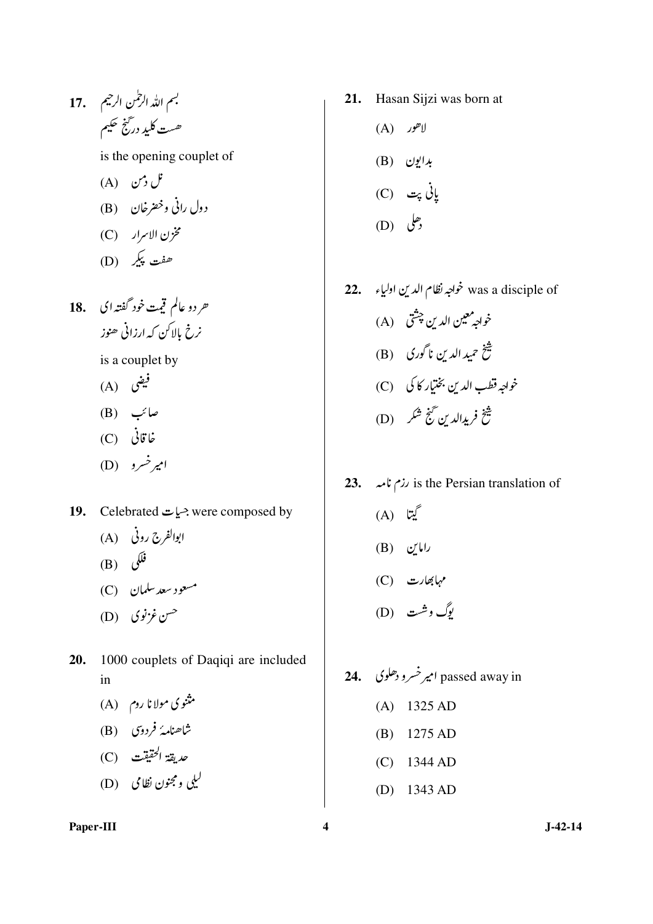- بسم الله الرحمٰن الرحيم للمعج 17. ھست کلید درگنج حکیم is the opening couplet of نل دس (A) دول رانی وخضرخان (B) مخزن الاسرار (C) ھفت پېکر (D)
- حردو عالم قيت خود گفته اي 18. نرخ بالاکن که ارزانی ھنوز

is a couplet by

- $(A)$  فیض
- صائب (B)
- غاقانی (C)
- امپرخسرو (D)
- 19. Celebrated  $\stackrel{\sim}{\sim}$  were composed by
	- ابوالفرج روني (A)
	- $(B)$  فَلَكَنَ
	- مسعود سعد سلمان (C)
	- حسن غزنوی (D)
- 20. 1000 couplets of Daqiqi are included in
	- مثنوی مولا نا روم (A)
	- شاھنامۂ فردوی (B)
	- حديقة الحقيقت (C)
	- ليلي ومجنون نظامي (D)
- 21. Hasan Sijzi was born at
	- $(A)$  لاهور
	- بدايون (B)
	- ياني پت (C) *(D)* رحل
- 22. الدين اولياء was a disciple of خواجه<sup>رمعين</sup> الدين چشق (A) شخ<br>شخ حمید الدین ناگوری (B) خواجه قطب الدين بختيار كا كې (C) شخ فريدالدين گنج شکر (D)
- 23. is the Persian translation of
	- (A) ليبتا  $(B)$  رامایں
	- (C) مہابھارت
	- بوگ وشت (D)
- 24. passed away in امیر خسرو دھلوی  $(A)$  1325 AD  $(B)$  1275 AD  $(C)$  1344 AD (D)  $1343$  AD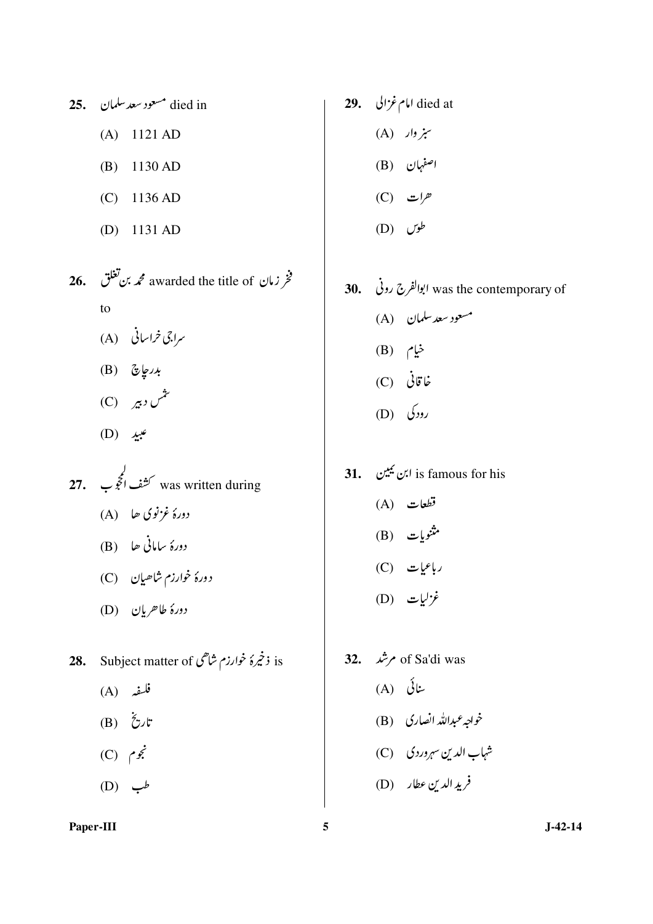- died in مسعود سعد سلمان 25.  $(A)$  1121 AD  $(B)$  1130 AD  $(C)$  1136 AD (D)  $1131$  AD
- 26. خو زمان awarded the title of محمد بن تغلق  $f_{\Omega}$ 
	- سراجی خراسانی (A)
	- $(B)$  بارىچارىتى
	- ىشى دېير (C)
	- $(D)$   $\psi$
- **27.** كشف الحجوب**27.** was written during دورهٔ غزنوی حا (A) دورۂ سامانی ھا (B) دورهٔ خوارزم شاھیان (C)
	- دورهٔ طاحریان (D)
- **28.** Subject matter of ذخیرهٔ خوارزم شاهی
	- $(A)$  فلسفه
	- (B) تارىخ
	- $(C)$   $\zeta$
	- $(D)$   $\rightarrow$
- Paper-III
- امام غزالی . 29. died at  $(A)$  سبز وار اصفہان (B)  $(C)$   $\mathbf{C}$ 
	- $(D)$   $dQ$
- 30. ابوالفرج روني was the contemporary of مسعود سعد سلمان (A) خيام (B) غاقانی (C) رودکی (D)
- $(A)$  تطعات (B) شنویات  $(C)$  رباعیات  $(D)$  غزلیات
- of Sa'di was مرشد . .32  $(A)$  ننائی خواجه عبدالله انصاری (B) شہاب الدین سہروردی (C) فريد الدين عطار (D)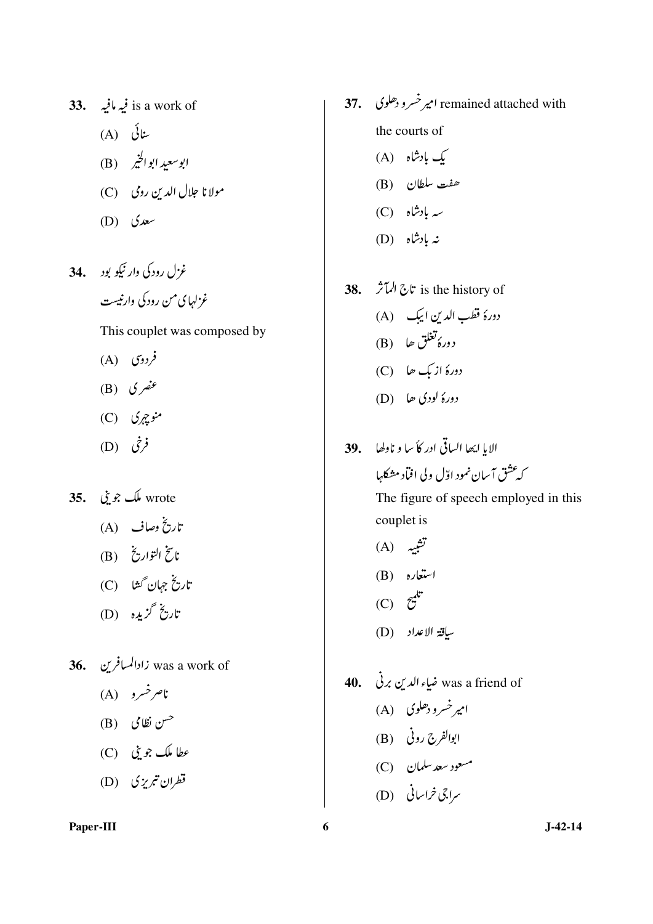- s a work of فيه مافيه . 33. ىنائى (A) ابوسعيد ابوالخير (B) مولانا جلال الدين رومي (C) (D)  $\omega$
- غزل رودکی وار نیکو بود ... 34 غزلهای من رودکی وارنیست

This couplet was composed by

- $(A)$  فردوی
- (B) عنصری
- $(C)$  (C)
- $(D)$   $(\dot{\zeta})^2$
- wrote ملک جو بنی 35.
	- تاريخ وصاف (A)
	- ناسخ التواري<sup>خ</sup> (B)
	- تاریخ جہان گھا (C)
	- تاريخ گزېږه (D)
- 36. زادالمسافرین**:** 36.
	- نام خسرو (A)
	- <sup>حس</sup>ن نظامی (B)
	-
	- قطران تبریزی (D)
- Paper-III
- remained attached with امیر خسرو دھلوی ۔ 37. the courts of
	- بک بادشاہ (A)
	- هفت سلطان (B)
	- سه بادشاه (C)
	- نه بادشاه (D)
- **38.** الممآثر: is the history of دورهٔ قطب الدین ایبک (A) دورهٔ تغلق حا (B) دورهٔ از بک حا (C)  $(D)$  (D) وورهٔ لودی حا
- الإياليها الساقي ادر كأسا و ناولها \_\_39. كەعشق آسان نمود اوّل ولى افباد مشكلها The figure of speech employed in this

couplet is (A) تشبیه

- استعاره (B)
- $(C)$   $\tilde{c}^{\mathcal{C}}$
- ساقة الاعداد (D)
- 40. مُباءِ الدين برني 40. 40 امپر خسرو دھلوی (A) ابوالفرج روني (B) مسعود سعد سلمان (C)
	- سراجی <del>ف</del>راسانی (D)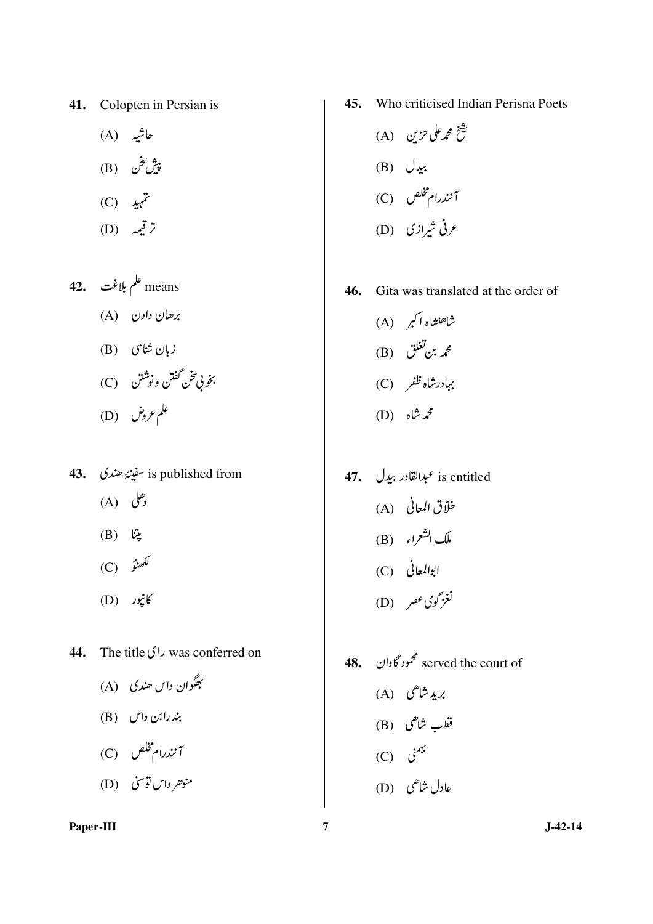Colopten in Persian is 41.

- حاشیہ (A) پيش تخن (B)
- $(C)$   $\mathcal{L}^{\mathcal{I}}$
- $(D)$   $\mathcal{L}$
- means علم بلاغت 42. برھان دادن (A) زبان شاسی (B) بخو بي تخن گفتن ونوشتن C) علم عروض (D)
- is published from سفينۂ ھندی . 43.  $(A)$  (A)
	- $(B)$   $\ddot{\omega}$
	- (C)  $\hat{y}$
	- (D) پنجور)
- 44. The title  $\sqrt{1}$  was conferred on
	- بِھگوان داس ھندي (A) بند رابن داس (B) آنندرام مخلص (C)
	- منو*هر دان توسن* (D)
- Who criticised Indian Perisna Poets 45.
	- شخ محم*ر على حزي*ن (A) (B)  $\bigcup$   $\mathcal{L}$ : آنندرام مخلص (C) عرفی شیرازی (D)

46. Gita was translated at the order of

- شاهنشاه اکبر (A) (B) تغلق $\mathcal{L}$  ). بہادرشاہ ظفر (C) محمدشاه (D)
- 47. *عبدالقادر* ببدل**97.** is entitled خلاً ق المعاني (A) ملك الشعراء (B) ابوالمعاني (C) نغزگوی *عص*ر (D)
- served the court of محمود گاوان .48 بريډ شاهی (A) قطب شاهی (B)  $(C)$  نہمنی عادل شاهی (D)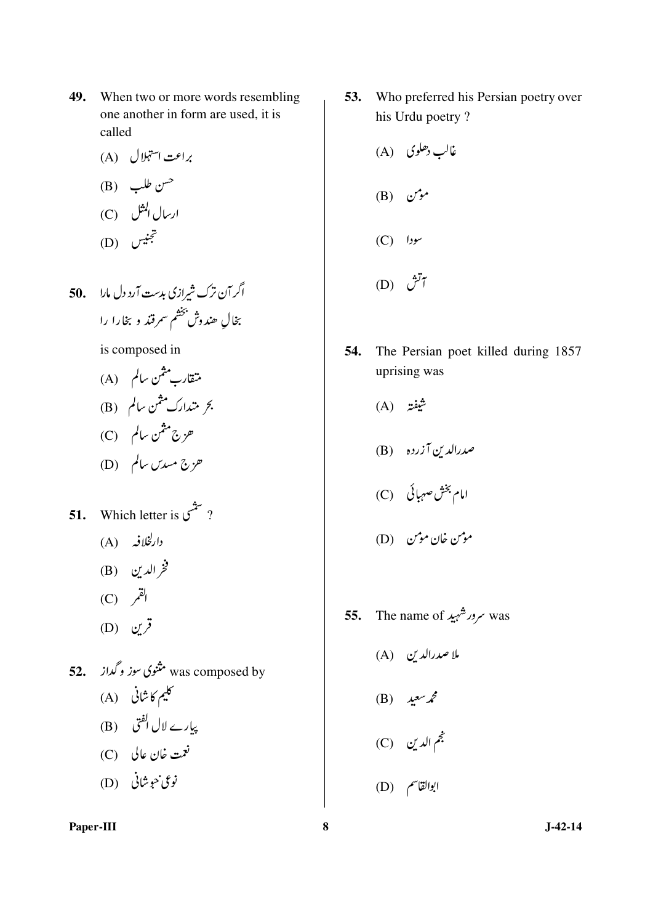- 49. When two or more words resembling one another in form are used, it is called
	- براعت استہلال (A)
	- (B)  $d\omega$   $d\omega$ ارسال المثل (C) حجنيس (D)
- اگر آن ترک شیرازی بدست آرد دل مارا مج بخال هندوش بخشم سمرقند وبخارا را

is composed in

- **51.** Which letter is  $y^2$ ? دارلخلافه (A) فخر الدين (B)
	- $(C)$  القم
	- (D)  $\mathcal{L}^{\mathcal{J}}$
- was composed by مثنوی سوز و گداز 52. کلیم کاشانی (A) پیارے لال ا<sup>لف</sup>ق (B) نعمت خان عالي (C) نوعي حوشاني (D)

53. Who preferred his Persian poetry over his Urdu poetry?

- 54. The Persian poet killed during 1857 uprising was
	- $(A)$   $\ddot{x}$
	- صدرالدین آزرده (B)
	- امام بخش صہبائی (C)
	- موس خان موس (D)
- The name of سرور شہید was 55.
	- ملا صدرالدین (A)
	- (B)  $\lambda^2$
	- خم الدين (C)
	- ابوالقاسم (D)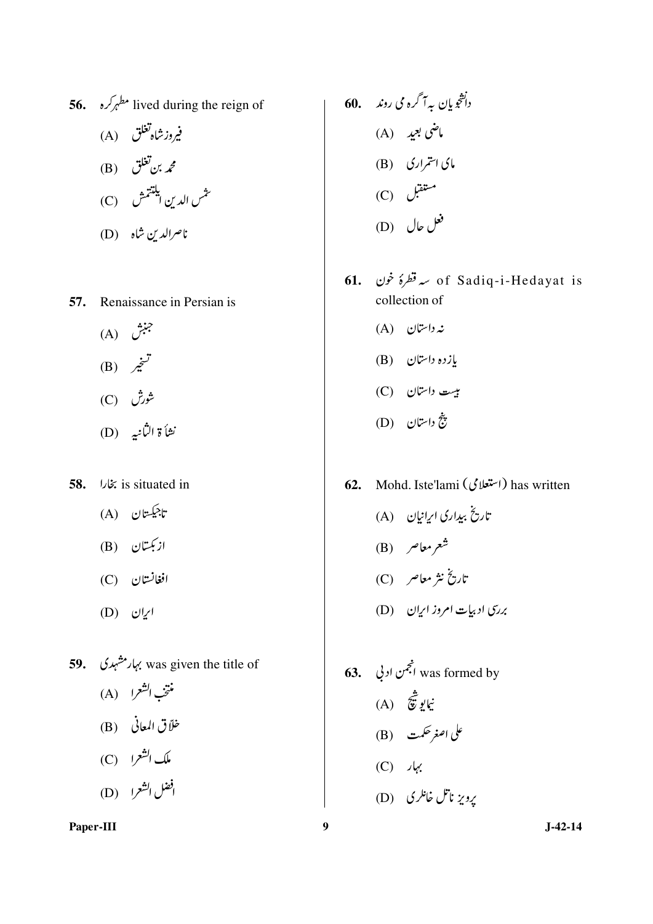56. 
$$
6\sqrt{e^{b}}
$$
 lived during the reign of  
\n(A)  $6\sqrt{2}$   
\n(B)  $3\sqrt{2}$   
\n(C)  $4\sqrt{2}$   
\n(D)  $3\sqrt{2}$   
\n(D)  $3\sqrt{2}$ 

57. Renaissance in Persian is

- $(A)$  جنبش (B)  $\vec{z}^{\mathcal{T}}$ شورش (C)
- نشأة الثانيه (D)
- is situated in بخارا 58.
	- تاجيڪستان (A)
	- ازبکتان (B)
	- $(C)$  افغانستان
	- $(D)$  ایران
- 59. بہار مشہدی was given the title of منتخب الشعرا (A) خلاً ق المعاني (B) ملك الشعرا (C) افضل الشعرا (D)

60. 
$$
\sqrt{2} \int_{\sqrt{2}}^{\sqrt{2}} f(x) \, dx
$$
\n(A) 
$$
\sqrt{2} \int_{\sqrt{2}}^{\sqrt{2}} f(x) \, dx
$$
\n(B) 
$$
\int_{\sqrt{2}}^{\sqrt{2}} f(x) \, dx
$$
\n(C) 
$$
\int_{\sqrt{2}}^{\sqrt{2}} f(x) \, dx
$$
\n(D) 
$$
\int_{\sqrt{2}}^{\sqrt{2}} f(x) \, dx
$$

- of Sadiq-i-Hedayat is سرقطرۂ غون .61 collection of
	- $(A)$  نه داستان
	- $(B)$  إزده داستان
	- بیت داستان (C)
	- ينج داستان (D)
- 62. Mohd. Iste'lami (استعلامی) has written
	- تاریخ ببداری ایرانیان (A) شعر معاصر (B) تاریخ نثر معاصر (C) بررسی ادبیات امروز ای<sub>ب</sub>ان (D)
- **63.** انجمن ادنی **63.** was formed by نيايو ثق**ي**<br>نيايو ثقي على اصغر حكمت (B)  $(C)$   $\sqrt{2}$ برویز ناتل خانلری (D)

 $J-42-14$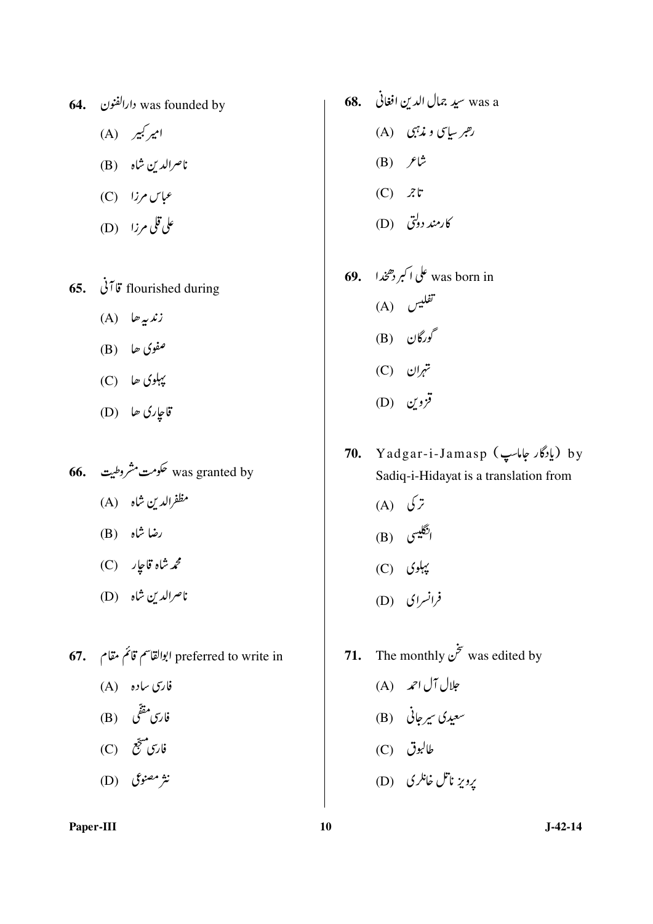- 64. ارالفنون was founded by
	- امپر کبیر (A)
	- ناصرالدين شاه (B)
	- $(C)$  (C) مماس مرزا
	- على قلى مرزا (D)
- 65.  $\dot{\theta}$   $\ddot{\theta}$  flourished during
	- $(A)$   $\psi$
	- $(B)$  ففوي حا
	- $(C)$  کیبلوی ھا $C$
	- قاجارى ھا (D)
- **66.** مکومت مشروطیت مق**ل 66.** Was granted by مظفرالدين شاه (A) رضا شاہ (B)
	- محم**رشاه قاجار (C)**
	- ناصرالدين شاه (D)
- 67. preferred to write in ابوالقاسم قائم مقام
	- فارسی ساده (A)
	- فارس مقفّی (B)
	- فارس<sup>مبی</sup>جّع (C)
	- نثر مصنوعی (D)
- was a سيد جمال الدين افغاني 68. رهبر سایپ و مذہبی (A)  $(B)$   $f^{\dagger}$  $(C)$   $\mathcal{Z}^{\dagger}$ 
	- کارمند دولتی (D)
- **69.** ملی اکبر دھمخدا **69.** Was born in تفليس (A) گورگان (B) (C) تہران  $(D)$   $\mathcal{C}'$
- 70. Yadgar-i-Jamasp (يادگار جاماسپ) براین م Sadiq-i-Hidayat is a translation from
	- (A)  $\sqrt{z}$ انگلیسی (B)
	- $(C)$  پېلوی
	- فرانسرای (D)
- 71. The monthly  $\dot{\vec{z}}$  was edited by
	- جلال آل احمد (A)
	- سعیدی سیرجانی (B)
	- طالبوق (C)
	- یرویز ناتل خانلری (D)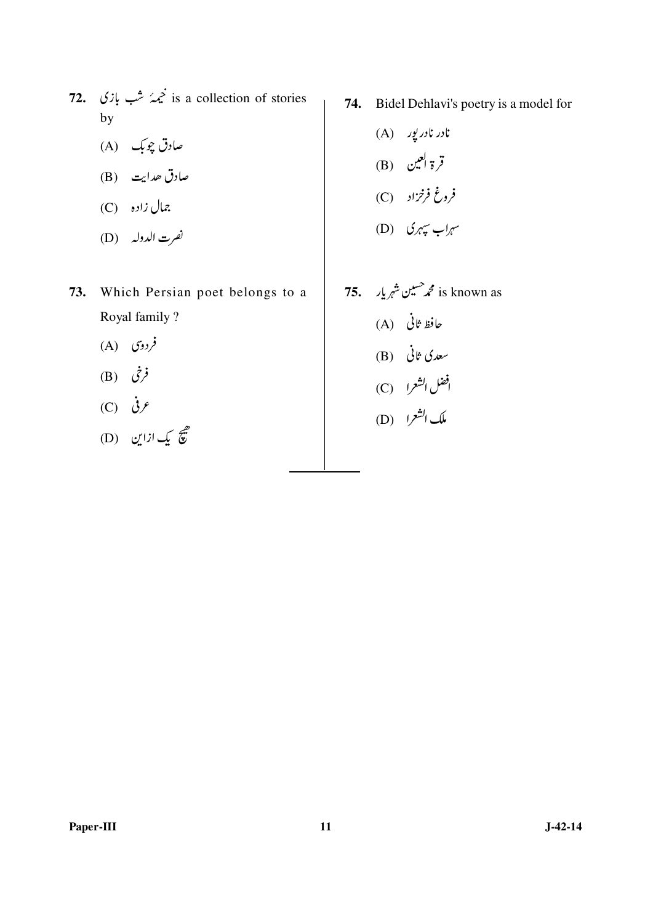- 72. نیمہُ شب بازی  $\dot{\mathscr{Z}}$  is a collection of stories  $by$ 
	- صادق چوبک (A)
	- صادق حدایت (B)
	- C) زاده (C)
	- نصرت الدوله (D)
- 73. Which Persian poet belongs to a Royal family ?
	- $(A)$  (A)
	- $(B)$   $(\dot{\zeta})$
	- $(C)$   $\dot{\mathcal{G}}$
	- هيم يک ازاين (D)

74. Bidel Dehlavi's poetry is a model for

(A) نارر ناررپور  
\n(B) قر<sup>و ا</sup>عیں  
\n(B) فرغ فرخزار  
\n(C) 
$$
\phi
$$
 نہری میری  
\n(D)

75. 
$$
\int_{\alpha}^{1} f(x) \, dx
$$
 is known as \n (A)  $\int_{\alpha}^{1} f(x) \, dx$  \n (B)  $\int_{\alpha}^{1} f(x) \, dx$  \n (C)  $\int_{\alpha}^{1} f(x) \, dx$  \n (D)  $\int_{\alpha}^{1} f(x) \, dx$